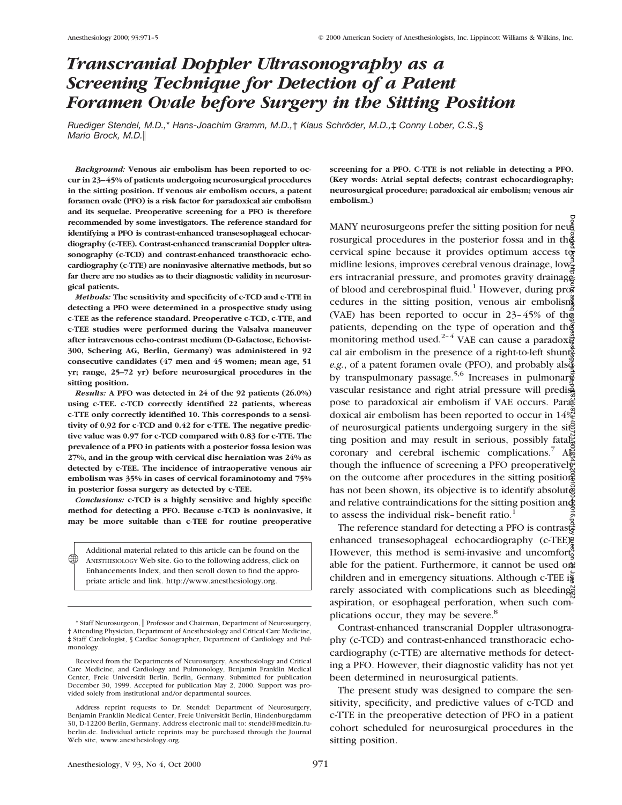# *Transcranial Doppler Ultrasonography as a Screening Technique for Detection of a Patent Foramen Ovale before Surgery in the Sitting Position*

*Ruediger Stendel, M.D.,*\* *Hans-Joachim Gramm, M.D.,*† *Klaus Schro¨ der, M.D.,*‡ *Conny Lober, C.S.,*§ *Mario Brock, M.D.*i

*Background:* **Venous air embolism has been reported to occur in 23–45% of patients undergoing neurosurgical procedures in the sitting position. If venous air embolism occurs, a patent foramen ovale (PFO) is a risk factor for paradoxical air embolism and its sequelae. Preoperative screening for a PFO is therefore recommended by some investigators. The reference standard for identifying a PFO is contrast-enhanced transesophageal echocardiography (c-TEE). Contrast-enhanced transcranial Doppler ultrasonography (c-TCD) and contrast-enhanced transthoracic echocardiography (c-TTE) are noninvasive alternative methods, but so far there are no studies as to their diagnostic validity in neurosurgical patients.**

*Methods:* **The sensitivity and specificity of c-TCD and c-TTE in detecting a PFO were determined in a prospective study using c-TEE as the reference standard. Preoperative c-TCD, c-TTE, and c-TEE studies were performed during the Valsalva maneuver after intravenous echo-contrast medium (D-Galactose, Echovist-300, Schering AG, Berlin, Germany) was administered in 92 consecutive candidates (47 men and 45 women; mean age, 51 yr; range, 25–72 yr) before neurosurgical procedures in the sitting position.**

*Results:* **A PFO was detected in 24 of the 92 patients (26.0%) using c-TEE. c-TCD correctly identified 22 patients, whereas c-TTE only correctly identified 10. This corresponds to a sensitivity of 0.92 for c-TCD and 0.42 for c-TTE. The negative predictive value was 0.97 for c-TCD compared with 0.83 for c-TTE. The prevalence of a PFO in patients with a posterior fossa lesion was 27%, and in the group with cervical disc herniation was 24% as detected by c-TEE. The incidence of intraoperative venous air embolism was 35% in cases of cervical foraminotomy and 75% in posterior fossa surgery as detected by c-TEE.**

*Conclusions:* **c-TCD is a highly sensitive and highly specific method for detecting a PFO. Because c-TCD is noninvasive, it may be more suitable than c-TEE for routine preoperative**

Additional material related to this article can be found on the ANESTHESIOLOGY Web site. Go to the following address, click on Enhancements Index, and then scroll down to find the appropriate article and link. http://www.anesthesiology.org.  $\circledast$ 

**screening for a PFO. C-TTE is not reliable in detecting a PFO. (Key words: Atrial septal defects; contrast echocardiography; neurosurgical procedure; paradoxical air embolism; venous air embolism.)**

MANY neurosurgeons prefer the sitting position for neu rosurgical procedures in the posterior fossa and in the cervical spine because it provides optimum access to midline lesions, improves cerebral venous drainage,  $\text{low}^3_{\Xi}$ ers intracranial pressure, and promotes gravity drainages of blood and cerebrospinal fluid.<sup>1</sup> However, during pro $\frac{2}{3}$ cedures in the sitting position, venous air embolism (VAE) has been reported to occur in  $23-45%$  of the patients, depending on the type of operation and the monitoring method used.<sup>2-4</sup> VAE can cause a paradox $\frac{3}{4}$ cal air embolism in the presence of a right-to-left shunt.  $e.g.,$  of a patent foramen ovale (PFO), and probably also by transpulmonary passage.<sup>5,6</sup> Increases in pulmonar $\vec{\xi}$ vascular resistance and right atrial pressure will predispose to paradoxical air embolism if VAE occurs. Parage doxical air embolism has been reported to occur in  $14\%$ of neurosurgical patients undergoing surgery in the sitting position and may result in serious, possibly fatal. coronary and cerebral ischemic complications.<sup>7</sup>  $\mathbf{A}\mathbb{R}^7$ though the influence of screening a PFO preoperatively. on the outcome after procedures in the sitting position has not been shown, its objective is to identify absolute and relative contraindications for the sitting position and to assess the individual risk-benefit ratio.<sup>1</sup> Downloaded from http://pubs.asahq.org/anesthesiology/article-pdf/93/4/971/400723/0000542-200010000-00016.pdf by guest on 25 June 2022

The reference standard for detecting a PFO is contrastenhanced transesophageal echocardiography (c-TEE)? However, this method is semi-invasive and uncomfortable for the patient. Furthermore, it cannot be used on children and in emergency situations. Although c-TEE is rarely associated with complications such as bleeding aspiration, or esophageal perforation, when such complications occur, they may be severe.<sup>8</sup>

Contrast-enhanced transcranial Doppler ultrasonography (c-TCD) and contrast-enhanced transthoracic echocardiography (c-TTE) are alternative methods for detecting a PFO. However, their diagnostic validity has not yet been determined in neurosurgical patients.

The present study was designed to compare the sensitivity, specificity, and predictive values of c-TCD and c-TTE in the preoperative detection of PFO in a patient cohort scheduled for neurosurgical procedures in the sitting position.

<sup>\*</sup> Staff Neurosurgeon, Professor and Chairman, Department of Neurosurgery, † Attending Physician, Department of Anesthesiology and Critical Care Medicine, ‡ Staff Cardiologist, § Cardiac Sonographer, Department of Cardiology and Pulmonology.

Received from the Departments of Neurosurgery, Anesthesiology and Critical Care Medicine, and Cardiology and Pulmonology, Benjamin Franklin Medical Center, Freie Universität Berlin, Berlin, Germany. Submitted for publication December 30, 1999. Accepted for publication May 2, 2000. Support was provided solely from institutional and/or departmental sources.

Address reprint requests to Dr. Stendel: Department of Neurosurgery, Benjamin Franklin Medical Center, Freie Universität Berlin, Hindenburgdamm 30, D-12200 Berlin, Germany. Address electronic mail to: stendel@medizin.fuberlin.de. Individual article reprints may be purchased through the Journal Web site, www.anesthesiology.org.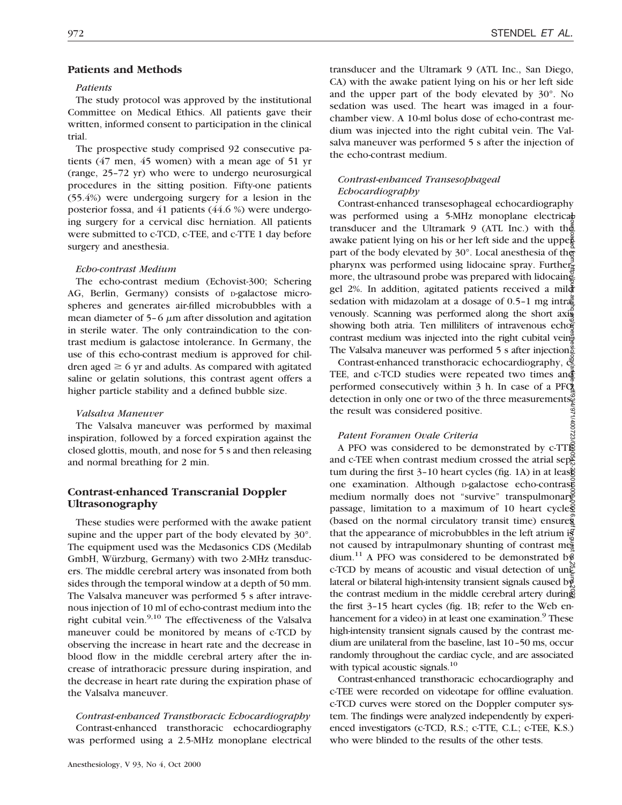# **Patients and Methods**

#### *Patients*

The study protocol was approved by the institutional Committee on Medical Ethics. All patients gave their written, informed consent to participation in the clinical trial.

The prospective study comprised 92 consecutive patients (47 men, 45 women) with a mean age of 51 yr (range, 25–72 yr) who were to undergo neurosurgical procedures in the sitting position. Fifty-one patients (55.4%) were undergoing surgery for a lesion in the posterior fossa, and 41 patients (44.6 %) were undergoing surgery for a cervical disc herniation. All patients were submitted to c-TCD, c-TEE, and c-TTE 1 day before surgery and anesthesia.

## *Echo-contrast Medium*

The echo-contrast medium (Echovist-300; Schering AG, Berlin, Germany) consists of p-galactose microspheres and generates air-filled microbubbles with a mean diameter of  $5-6 \mu m$  after dissolution and agitation in sterile water. The only contraindication to the contrast medium is galactose intolerance. In Germany, the use of this echo-contrast medium is approved for children aged  $\geq 6$  yr and adults. As compared with agitated saline or gelatin solutions, this contrast agent offers a higher particle stability and a defined bubble size.

#### *Valsalva Maneuver*

The Valsalva maneuver was performed by maximal inspiration, followed by a forced expiration against the closed glottis, mouth, and nose for 5 s and then releasing and normal breathing for 2 min.

# **Contrast-enhanced Transcranial Doppler Ultrasonography**

These studies were performed with the awake patient supine and the upper part of the body elevated by 30°. The equipment used was the Medasonics CDS (Medilab GmbH, Würzburg, Germany) with two 2-MHz transducers. The middle cerebral artery was insonated from both sides through the temporal window at a depth of 50 mm. The Valsalva maneuver was performed 5 s after intravenous injection of 10 ml of echo-contrast medium into the right cubital vein. $9,10$  The effectiveness of the Valsalva maneuver could be monitored by means of c-TCD by observing the increase in heart rate and the decrease in blood flow in the middle cerebral artery after the increase of intrathoracic pressure during inspiration, and the decrease in heart rate during the expiration phase of the Valsalva maneuver.

*Contrast-enhanced Transthoracic Echocardiography* Contrast-enhanced transthoracic echocardiography was performed using a 2.5-MHz monoplane electrical transducer and the Ultramark 9 (ATL Inc., San Diego, CA) with the awake patient lying on his or her left side and the upper part of the body elevated by 30°. No sedation was used. The heart was imaged in a fourchamber view. A 10-ml bolus dose of echo-contrast medium was injected into the right cubital vein. The Valsalva maneuver was performed 5 s after the injection of the echo-contrast medium.

# *Contrast-enhanced Transesophageal Echocardiography*

Contrast-enhanced transesophageal echocardiography was performed using a 5-MHz monoplane electricable transducer and the Ultramark 9 (ATL Inc.) with the awake patient lying on his or her left side and the upper part of the body elevated by 30°. Local anesthesia of the pharynx was performed using lidocaine spray. Furthermore, the ultrasound probe was prepared with lidocaines gel 2%. In addition, agitated patients received a mild sedation with midazolam at a dosage of  $0.5-1$  mg intra $\ddot{\tilde{\mathbf{z}}}$ venously. Scanning was performed along the short axis showing both atria. Ten milliliters of intravenous echo $\bar{e}$ contrast medium was injected into the right cubital vein $\frac{a}{r}$ The Valsalva maneuver was performed 5 s after injection<sup>.</sup>

Contrast-enhanced transthoracic echocardiography,  $\check{\mathfrak{E}}$ TEE, and c-TCD studies were repeated two times and performed consecutively within 3 h. In case of a PF $\check{C}$ detection in only one or two of the three measurements. /971/400723 the result was considered positive.

#### *Patent Foramen Ovale Criteria*

A PFO was considered to be demonstrated by c-TTE and c-TEE when contrast medium crossed the atrial sep $\frac{8}{5}$ tum during the first 3–10 heart cycles (fig. 1A) in at lease one examination. Although p-galactose echo-contrased medium normally does not "survive" transpulmonary passage, limitation to a maximum of 10 heart cycles (based on the normal circulatory transit time) ensures that the appearance of microbubbles in the left atrium is not caused by intrapulmonary shunting of contrast me $\frac{1}{6}$ dium.<sup>11</sup> A PFO was considered to be demonstrated b<sup> $\frac{3}{5}$ </sup> c-TCD by means of acoustic and visual detection of un $\tilde{E}$ lateral or bilateral high-intensity transient signals caused by the contrast medium in the middle cerebral artery during the first 3–15 heart cycles (fig. 1B; refer to the Web enhancement for a video) in at least one examination.<sup>9</sup> These high-intensity transient signals caused by the contrast medium are unilateral from the baseline, last 10–50 ms, occur randomly throughout the cardiac cycle, and are associated with typical acoustic signals.<sup>10</sup> Downloaded from http://pubs.asahq.org/anesthesiology/article-pdf/93/4/971/400723/0000542-200010000-00016.pdf by guest on 25 June 2022

Contrast-enhanced transthoracic echocardiography and c-TEE were recorded on videotape for offline evaluation. c-TCD curves were stored on the Doppler computer system. The findings were analyzed independently by experienced investigators (c-TCD, R.S.; c-TTE, C.L.; c-TEE, K.S.) who were blinded to the results of the other tests.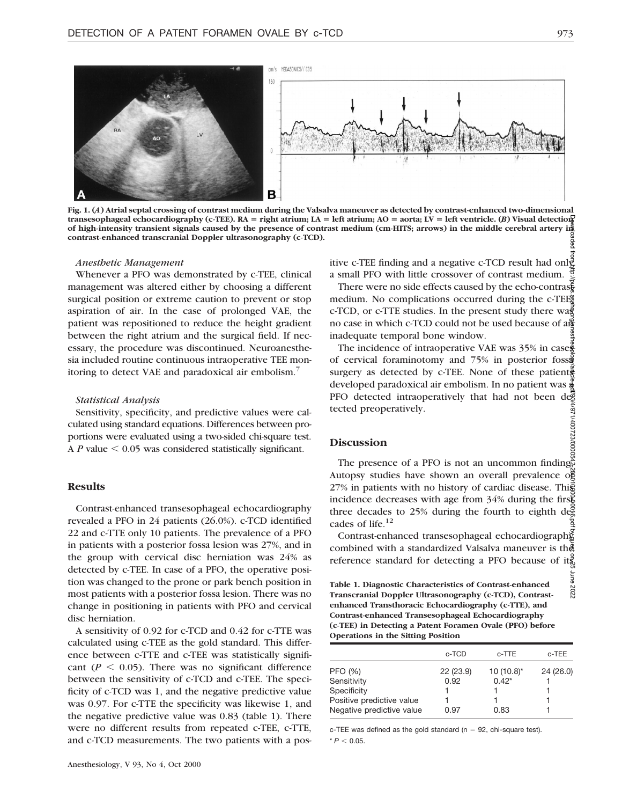

**Fig. 1. (***A***) Atrial septal crossing of contrast medium during the Valsalva maneuver as detected by contrast-enhanced two-dimensional**  $transesophaged$   $echocardiography$   $(c-TEE)$ .  $RA = right$   $atrium$ ;  $LA = left$   $atrium$ ;  $AO = aorta$ ;  $LV = left$  ventricle.  $(B)$  Visual detection **of high-intensity transient signals caused by the presence of contrast medium (cm-HITS; arrows) in the middle cerebral artery in contrast-enhanced transcranial Doppler ultrasonography (c-TCD).** aded

## *Anesthetic Management*

Whenever a PFO was demonstrated by c-TEE, clinical management was altered either by choosing a different surgical position or extreme caution to prevent or stop aspiration of air. In the case of prolonged VAE, the patient was repositioned to reduce the height gradient between the right atrium and the surgical field. If necessary, the procedure was discontinued. Neuroanesthesia included routine continuous intraoperative TEE monitoring to detect VAE and paradoxical air embolism.<sup>7</sup>

#### *Statistical Analysis*

Sensitivity, specificity, and predictive values were calculated using standard equations. Differences between proportions were evaluated using a two-sided chi-square test. A  $P$  value  $\leq 0.05$  was considered statistically significant.

## **Results**

Contrast-enhanced transesophageal echocardiography revealed a PFO in 24 patients (26.0%). c-TCD identified 22 and c-TTE only 10 patients. The prevalence of a PFO in patients with a posterior fossa lesion was 27%, and in the group with cervical disc herniation was 24% as detected by c-TEE. In case of a PFO, the operative position was changed to the prone or park bench position in most patients with a posterior fossa lesion. There was no change in positioning in patients with PFO and cervical disc herniation.

A sensitivity of 0.92 for c-TCD and 0.42 for c-TTE was calculated using c-TEE as the gold standard. This difference between c-TTE and c-TEE was statistically significant ( $P \le 0.05$ ). There was no significant difference between the sensitivity of c-TCD and c-TEE. The specificity of c-TCD was 1, and the negative predictive value was 0.97. For c-TTE the specificity was likewise 1, and the negative predictive value was 0.83 (table 1). There were no different results from repeated c-TEE, c-TTE, and c-TCD measurements. The two patients with a positive c-TEE finding and a negative c-TCD result had only a small PFO with little crossover of contrast medium.

There were no side effects caused by the echo-contrast medium. No complications occurred during the c-TEE® c-TCD, or c-TTE studies. In the present study there  $w a \bar{S}$ no case in which c-TCD could not be used because of an inadequate temporal bone window.

The incidence of intraoperative VAE was 35% in case of cervical foraminotomy and 75% in posterior fossa surgery as detected by  $c$ -TEE. None of these patients developed paradoxical air embolism. In no patient was a PFO detected intraoperatively that had not been detected preoperatively. /971/400723/00005

# **Discussion**

The presence of a PFO is not an uncommon finding. Autopsy studies have shown an overall prevalence of 27% in patients with no history of cardiac disease. This incidence decreases with age from 34% during the first three decades to 25% during the fourth to eighth decades of life.12 Downloaded from http://pubs.asahq.org/anesthesiology/article-pdf/93/4/971/400723/0000542-200010000-00016.pdf by guest on 25 June 2022

Contrast-enhanced transesophageal echocardiography combined with a standardized Valsalva maneuver is the reference standard for detecting a PFO because of its

**Table 1. Diagnostic Characteristics of Contrast-enhanced Transcranial Doppler Ultrasonography (c-TCD), Contrastenhanced Transthoracic Echocardiography (c-TTE), and Contrast-enhanced Transesophageal Echocardiography (c-TEE) in Detecting a Patent Foramen Ovale (PFO) before Operations in the Sitting Position**

|                           | c-TCD     | c-TTE          | c-TEE    |
|---------------------------|-----------|----------------|----------|
| <b>PFO (%)</b>            | 22 (23.9) | $10(10.8)^{*}$ | 24(26.0) |
| Sensitivity               | 0.92      | $0.42*$        |          |
| Specificity               |           |                |          |
| Positive predictive value |           |                |          |
| Negative predictive value | 0.97      | 0.83           |          |

c-TEE was defined as the gold standard ( $n = 92$ , chi-square test).  $* P < 0.05$ .

June 2022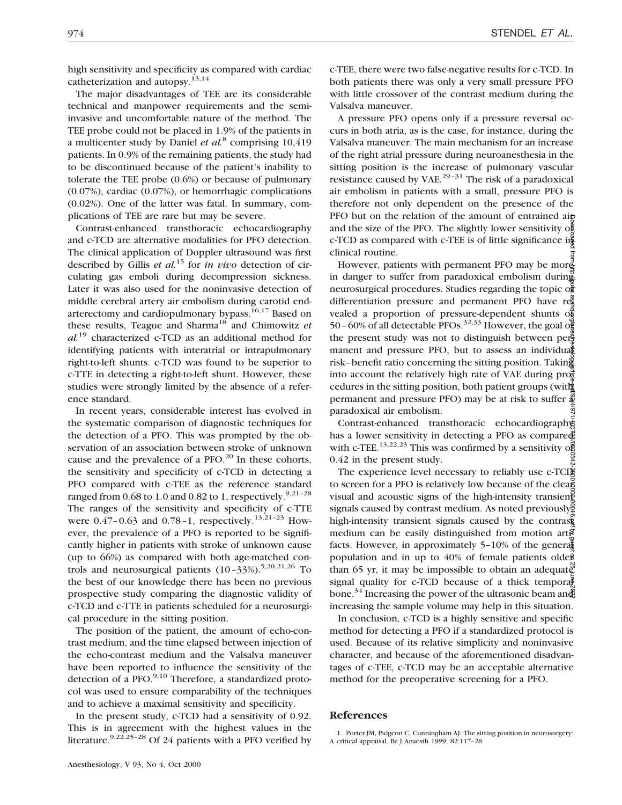high sensitivity and specificity as compared with cardiac catheterization and autopsy.13,14

The major disadvantages of TEE are its considerable technical and manpower requirements and the semiinvasive and uncomfortable nature of the method. The TEE probe could not be placed in 1.9% of the patients in a multicenter study by Daniel *et al.*<sup>8</sup> comprising 10,419 patients. In 0.9% of the remaining patients, the study had to be discontinued because of the patient's inability to tolerate the TEE probe (0.6%) or because of pulmonary (0.07%), cardiac (0.07%), or hemorrhagic complications (0.02%). One of the latter was fatal. In summary, complications of TEE are rare but may be severe.

Contrast-enhanced transthoracic echocardiography and c-TCD are alternative modalities for PFO detection. The clinical application of Doppler ultrasound was first described by Gillis *et al.*<sup>15</sup> for *in vivo* detection of circulating gas emboli during decompression sickness. Later it was also used for the noninvasive detection of middle cerebral artery air embolism during carotid endarterectomy and cardiopulmonary bypass.<sup>16,17</sup> Based on these results, Teague and Sharma18 and Chimowitz *et al.*<sup>19</sup> characterized c-TCD as an additional method for identifying patients with interatrial or intrapulmonary right-to-left shunts. c-TCD was found to be superior to c-TTE in detecting a right-to-left shunt. However, these studies were strongly limited by the absence of a reference standard.

In recent years, considerable interest has evolved in the systematic comparison of diagnostic techniques for the detection of a PFO. This was prompted by the observation of an association between stroke of unknown cause and the prevalence of a PFO.<sup>20</sup> In these cohorts, the sensitivity and specificity of c-TCD in detecting a PFO compared with c-TEE as the reference standard ranged from  $0.68$  to  $1.0$  and  $0.82$  to  $1$ , respectively.<sup>9,21-28</sup> The ranges of the sensitivity and specificity of c-TTE were  $0.47 - 0.63$  and  $0.78 - 1$ , respectively.<sup>13,21-23</sup> However, the prevalence of a PFO is reported to be significantly higher in patients with stroke of unknown cause (up to 66%) as compared with both age-matched controls and neurosurgical patients  $(10-33\%)$ <sup>5,20,21,26</sup> To the best of our knowledge there has been no previous prospective study comparing the diagnostic validity of c-TCD and c-TTE in patients scheduled for a neurosurgical procedure in the sitting position.

The position of the patient, the amount of echo-contrast medium, and the time elapsed between injection of the echo-contrast medium and the Valsalva maneuver have been reported to influence the sensitivity of the detection of a  $PFO.<sup>9,10</sup>$  Therefore, a standardized protocol was used to ensure comparability of the techniques and to achieve a maximal sensitivity and specificity.

In the present study, c-TCD had a sensitivity of 0.92. This is in agreement with the highest values in the literature.<sup>9,22,25-28</sup> Of 24 patients with a PFO verified by c-TEE, there were two false-negative results for c-TCD. In both patients there was only a very small pressure PFO with little crossover of the contrast medium during the Valsalva maneuver.

A pressure PFO opens only if a pressure reversal occurs in both atria, as is the case, for instance, during the Valsalva maneuver. The main mechanism for an increase of the right atrial pressure during neuroanesthesia in the sitting position is the increase of pulmonary vascular resistance caused by VAE.<sup>29-31</sup> The risk of a paradoxical air embolism in patients with a small, pressure PFO is therefore not only dependent on the presence of the PFO but on the relation of the amount of entrained airand the size of the PFO. The slightly lower sensitivity of c-TCD as compared with c-TEE is of little significance in clinical routine.

However, patients with permanent PFO may be mor $\frac{3}{2}$ in danger to suffer from paradoxical embolism during neurosurgical procedures. Studies regarding the topic of differentiation pressure and permanent PFO have  $r\ddot{\rm e}$ vealed a proportion of pressure-dependent shunts of 50–60% of all detectable PFOs.<sup>32,33</sup> However, the goal of the present study was not to distinguish between permanent and pressure PFO, but to assess an individual risk–benefit ratio concerning the sitting position. Taking into account the relatively high rate of VAE during  $\pi$ cedures in the sitting position, both patient groups (with permanent and pressure PFO) may be at risk to suffer  $\oint$ paradoxical air embolism. Downloaded from http://pubs.asahq.org/anesthesiology/article-pdf/93/4/971/400723/0000542-200010000-00016.pdf by guest on 25 June 2022

Contrast-enhanced transthoracic echocardiography has a lower sensitivity in detecting a PFO as compared with c-TEE.<sup>13,22,23</sup> This was confirmed by a sensitivity of 0.42 in the present study.

The experience level necessary to reliably use c-TCD to screen for a PFO is relatively low because of the clear visual and acoustic signs of the high-intensity transient signals caused by contrast medium. As noted previously $\frac{8}{3}$ high-intensity transient signals caused by the contrast medium can be easily distinguished from motion artifacts. However, in approximately 5-10% of the general population and in up to  $40\%$  of female patients olde $\beta$ than 65 yr, it may be impossible to obtain an adequate signal quality for c-TCD because of a thick temporal bone.<sup>34</sup> Increasing the power of the ultrasonic beam and increasing the sample volume may help in this situation.

In conclusion, c-TCD is a highly sensitive and specific method for detecting a PFO if a standardized protocol is used. Because of its relative simplicity and noninvasive character, and because of the aforementioned disadvantages of c-TEE, c-TCD may be an acceptable alternative method for the preoperative screening for a PFO.

## **References**

<sup>1.</sup> Porter JM, Pidgeon C, Cunningham AJ: The sitting position in neurosurgery: A critical appraisal. Br J Anaesth 1999; 82:117–28